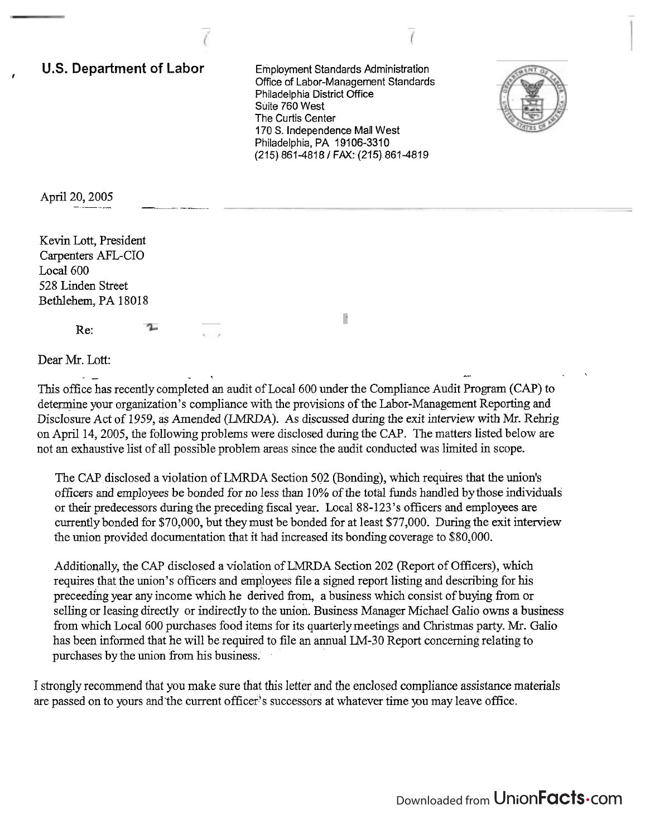**U.S. Department of Labor Employment Standards Administration I**Office of Labor-Management Standards Philadelphia District Office Suite 760 West The Curtis Center 170 S. Independence Mall West Philadelphia, PA 19106-3310 (215) 861-48181 FAX: (215) 861-4819

F



April 20, 2005

Kevin Lott, President Carpenters AFL-CIO Local 600 528 Linden Street Bethlehem, PA 18018

Re:

Dear Mr. Lott:

. LOTT. This office has recently completed an audit of Local 600 under the Compliance Audit Program (CAP) to determine your organization's compliance with the provisions of the Labor-Management Reporting and Disclosure Act of 1959, as Amended (LMRDA). As discussed during the exit interview with Mr. Rehrig on April 14,2005, the following problems were disclosed during the CAP. The matters listed below are not an exhaustive list of all possible problem areas since the audit conducted was limited in scope.

The CAP disclosed a violation of LMRDA Section 502 (Bonding), which requires that the union's officers and employees be bonded for no less than 10% of the total funds handled by those individuals or their predecessors during the preceding fiscal year. Local 88-123's officers and employees are currently bonded for \$70,000, but they must be bonded for at least \$77,000. During the exit interview the union provided documentation that it had increased its bonding coverage to \$80,000.

Additionally, the CAP disclosed a violation of LMRDA Section 202 (Report of Officers), which requires that the union's officers and employees file a signed report listing and describing for his preceedhg year any income which he derived from, a business which consist of buying fiom or selling or leasing directly or indirectly to the union. Business Manager Michael Galio owns a business from which Local 600 purchases food items for its quarterly meetings and Christmas party. Mr. Galio has been informed that he will be required to file an annual LM-30 Report concerning relating to purchases by the union from his business.

I strongly recommend that you make sure that this letter and the enclosed compliance assistance materials are passed on to yours and'the current officer's successors at whatever time pu may leave office.